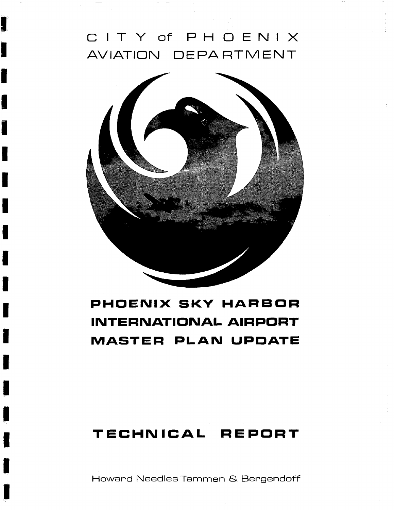# CITY of PHOENIX AVIATION DEPA RTMEN

1

I

İ

İ

Ī



# **PHOENIX SKY HARBOR INTERNATIONAL AIRPORT MASTER PLAN UPDATE**

# **TECHNICAL REPORT**

Howard Needles Tammen & Bergendoff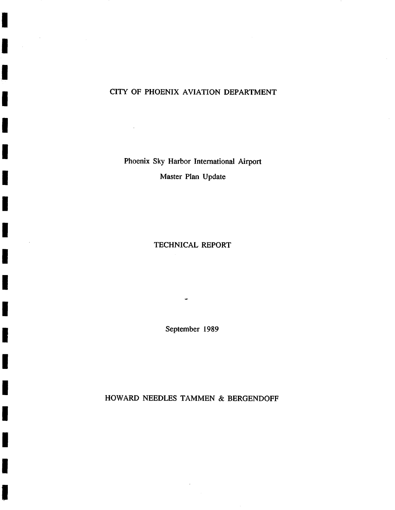### CITY OF PHOENIX AVIATION DEPARTMENT

I

,I

i

I

I

I

I

I

I

I

I

I

I

I

I

I

I

I

!

Phoenix Sky Harbor International Airport Master Plan Update

#### TECHNICAL REPORT

September 1989

HOWARD NEEDLES TAMMEN & BERGENDOFF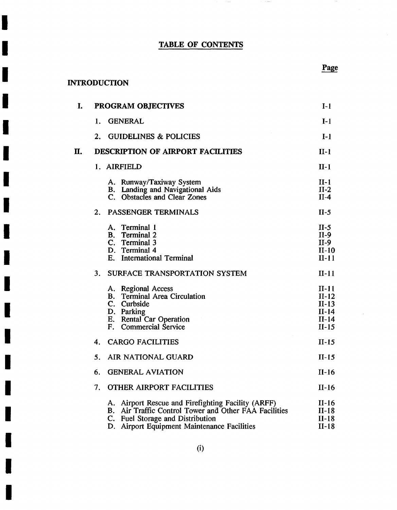## TABLE OF CONTENTS

 $\sim$   $-$ 

 $\sim$ 

## INTRODUCTION

**I** 

**!** 

**!** 

**I** 

**I** 

**!** 

**I** 

**!** 

**I** 

**I** 

**!** 

**I** 

**I** 

**I** 

**I** 

**I** 

**I** 

| I. |    | <b>PROGRAM OBJECTIVES</b>                                                                                                                                                                                | $I-1$                                                          |
|----|----|----------------------------------------------------------------------------------------------------------------------------------------------------------------------------------------------------------|----------------------------------------------------------------|
|    | 1. | <b>GENERAL</b>                                                                                                                                                                                           | $I-1$                                                          |
|    | 2. | <b>GUIDELINES &amp; POLICIES</b>                                                                                                                                                                         | $I-1$                                                          |
| П. |    | <b>DESCRIPTION OF AIRPORT FACILITIES</b>                                                                                                                                                                 | $II-1$                                                         |
|    |    | 1. AIRFIELD                                                                                                                                                                                              | $II-1$                                                         |
|    |    | A. Runway/Taxiway System<br>B. Landing and Navigational Aids<br>C. Obstacles and Clear Zones                                                                                                             | $II-1$<br>$II-2$<br>$II-4$                                     |
|    | 2. | PASSENGER TERMINALS                                                                                                                                                                                      | $II-5$                                                         |
|    |    | Terminal 1<br>A.<br><b>B.</b> Terminal 2<br>C. Terminal 3<br>D. Terminal 4<br>E. International Terminal                                                                                                  | $II-5$<br>$II-9$<br>$II-9$<br>$II-10$<br>$II-11$               |
|    | 3. | SURFACE TRANSPORTATION SYSTEM                                                                                                                                                                            | $II-11$                                                        |
|    |    | A. Regional Access<br><b>B.</b> Terminal Area Circulation<br>C. Curbside<br>D. Parking<br>E. Rental Car Operation<br>Commercial Service<br>$F_{\rm L}$                                                   | $II-11$<br>$II-12$<br>$II-13$<br>$II-14$<br>$II-14$<br>$II-15$ |
|    | 4. | <b>CARGO FACILITIES</b>                                                                                                                                                                                  | $II-15$                                                        |
|    | 5. | AIR NATIONAL GUARD                                                                                                                                                                                       | $II-15$                                                        |
|    | 6. | <b>GENERAL AVIATION</b>                                                                                                                                                                                  | $II-16$                                                        |
|    | 7. | <b>OTHER AIRPORT FACILITIES</b>                                                                                                                                                                          | $II-16$                                                        |
|    |    | A. Airport Rescue and Firefighting Facility (ARFF)<br>B. Air Traffic Control Tower and Other FAA Facilities<br>C. Fuel Storage and Distribution<br><b>Airport Equipment Maintenance Facilities</b><br>D. | $II-16$<br>$II-18$<br>$II-18$<br>$II-18$                       |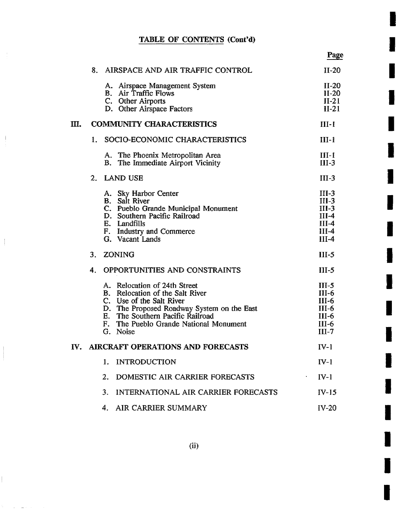$\mathbf{I}$ 

 $\frac{1}{2}$ 

**I** 

il

**!** 

!

**i** 

**!** 

**!** 

**I** 

**!** 

**!** 

**I** 

**!** 

**!** 

**I** 

**i** 

**I** 

i

|    |    |                                                                                                                                                                                                                                     | Page                                                                    |
|----|----|-------------------------------------------------------------------------------------------------------------------------------------------------------------------------------------------------------------------------------------|-------------------------------------------------------------------------|
|    |    | 8. AIRSPACE AND AIR TRAFFIC CONTROL                                                                                                                                                                                                 | $II-20$                                                                 |
|    |    | A. Airspace Management System<br><b>B.</b> Air Traffic Flows<br>C. Other Airports<br>D. Other Airspace Factors                                                                                                                      | $II-20$<br>$II-20$<br>$II-21$<br>$II-21$                                |
| Ш. |    | <b>COMMUNITY CHARACTERISTICS</b>                                                                                                                                                                                                    | $III-1$                                                                 |
|    | ⊪. | SOCIO-ECONOMIC CHARACTERISTICS                                                                                                                                                                                                      | $III-1$                                                                 |
|    |    | A. The Phoenix Metropolitan Area<br>B. The Immediate Airport Vicinity                                                                                                                                                               | $III-1$<br>$III-3$                                                      |
|    |    | 2. LAND USE                                                                                                                                                                                                                         | $III-3$                                                                 |
|    |    | A. Sky Harbor Center<br><b>B.</b> Salt River<br>C. Pueblo Grande Municipal Monument<br>D. Southern Pacific Railroad<br>E. Landfills<br>F. Industry and Commerce<br>G. Vacant Lands                                                  | $III-3$<br>$III-3$<br>$III-3$<br>III-4<br>$III-4$<br>$III-4$<br>$III-4$ |
|    | 3. | ZONING                                                                                                                                                                                                                              | $III-5$                                                                 |
|    | 4. | OPPORTUNITIES AND CONSTRAINTS                                                                                                                                                                                                       | $III-5$                                                                 |
|    |    | A. Relocation of 24th Street<br>B. Relocation of the Salt River<br>C. Use of the Salt River<br>D. The Proposed Roadway System on the East<br>E. The Southern Pacific Railroad<br>F. The Pueblo Grande National Monument<br>G. Noise | $III-5$<br>$III-6$<br>$III-6$<br>$III-6$<br>$III-6$<br>HI-6<br>$III-7$  |
|    |    | IV. AIRCRAFT OPERATIONS AND FORECASTS                                                                                                                                                                                               | $IV-1$                                                                  |
|    |    | 1. INTRODUCTION                                                                                                                                                                                                                     | $IV-1$                                                                  |
|    |    | 2. DOMESTIC AIR CARRIER FORECASTS                                                                                                                                                                                                   | $IV-1$                                                                  |
|    |    | 3. INTERNATIONAL AIR CARRIER FORECASTS                                                                                                                                                                                              | $IV-15$                                                                 |
|    |    | 4. AIR CARRIER SUMMARY                                                                                                                                                                                                              | $IV-20$                                                                 |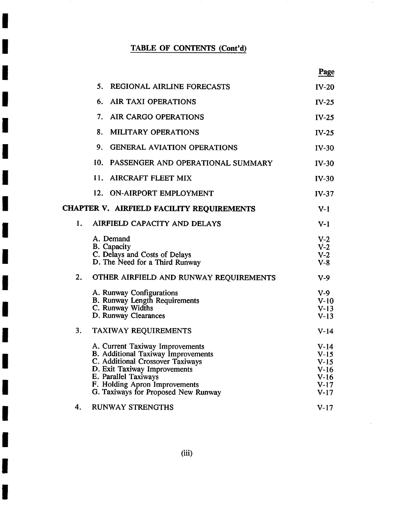**I** 

**I** 

**I** 

**I** 

**I** 

**I** 

**i** 

**I** 

**!** 

**I** 

**I** 

**I** 

**i** 

**!** 

**I** 

**I** 

**I** 

|    |                                                                                                                                                                                                                                           | Page                                                               |
|----|-------------------------------------------------------------------------------------------------------------------------------------------------------------------------------------------------------------------------------------------|--------------------------------------------------------------------|
|    | 5.<br>REGIONAL AIRLINE FORECASTS                                                                                                                                                                                                          | $IV-20$                                                            |
|    | 6.<br><b>AIR TAXI OPERATIONS</b>                                                                                                                                                                                                          | $IV-25$                                                            |
|    | 7.<br>AIR CARGO OPERATIONS                                                                                                                                                                                                                | $IV-25$                                                            |
|    | 8.<br><b>MILITARY OPERATIONS</b>                                                                                                                                                                                                          | $IV-25$                                                            |
|    | 9.<br><b>GENERAL AVIATION OPERATIONS</b>                                                                                                                                                                                                  | $IV-30$                                                            |
|    | 10. PASSENGER AND OPERATIONAL SUMMARY                                                                                                                                                                                                     | $IV-30$                                                            |
|    | 11.<br><b>AIRCRAFT FLEET MIX</b>                                                                                                                                                                                                          | $IV-30$                                                            |
|    | 12. ON-AIRPORT EMPLOYMENT                                                                                                                                                                                                                 | $IV-37$                                                            |
|    | CHAPTER V. AIRFIELD FACILITY REQUIREMENTS                                                                                                                                                                                                 | $V-1$                                                              |
| 1. | AIRFIELD CAPACITY AND DELAYS                                                                                                                                                                                                              | $V-1$                                                              |
|    | A. Demand<br><b>B.</b> Capacity<br>C. Delays and Costs of Delays<br>D. The Need for a Third Runway                                                                                                                                        | $V-2$<br>$V-2$<br>$V-2$<br>$V-8$                                   |
| 2. | OTHER AIRFIELD AND RUNWAY REQUIREMENTS                                                                                                                                                                                                    | $V-9$                                                              |
|    | A. Runway Configurations<br>B. Runway Length Requirements<br>C. Runway Widths<br>D. Runway Clearances                                                                                                                                     | $V-9$<br>$V-10$<br>$V-13$<br>$V-13$                                |
| 3. | TAXIWAY REQUIREMENTS                                                                                                                                                                                                                      | $V-14$                                                             |
|    | A. Current Taxiway Improvements<br>B. Additional Taxiway Improvements<br>C. Additional Crossover Taxiways<br>D. Exit Taxiway Improvements<br>E. Parallel Taxiways<br>F. Holding Apron Improvements<br>G. Taxiways for Proposed New Runway | $V-14$<br>$V-15$<br>$V-15$<br>$V-16$<br>$V-16$<br>$V-17$<br>$V-17$ |
| 4. | <b>RUNWAY STRENGTHS</b>                                                                                                                                                                                                                   | $V-17$                                                             |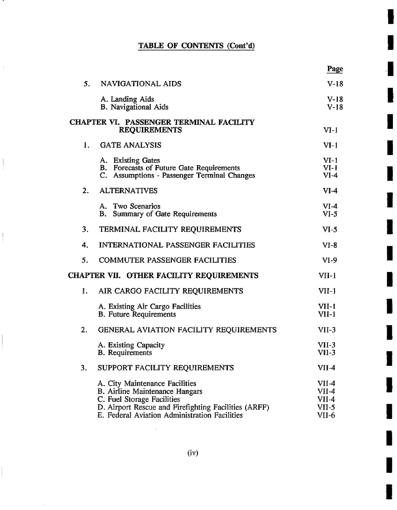.

 $\frac{1}{2}$ 

 $\overline{\phantom{a}}$ 

-I

**I** 

**I** 

**I** 

**!** 

**I** 

**I** 

**I** 

**I** 

**I** 

**I** 

**I** 

**I** 

**I** 

**I** 

|                  |                                                                                                                                                                                                         | Page                                          |
|------------------|---------------------------------------------------------------------------------------------------------------------------------------------------------------------------------------------------------|-----------------------------------------------|
| 5.               | NAVIGATIONAL AIDS                                                                                                                                                                                       | $V-18$                                        |
|                  | A. Landing Aids<br><b>B.</b> Navigational Aids                                                                                                                                                          | $V-18$<br>$V-18$                              |
|                  | <b>CHAPTER VI. PASSENGER TERMINAL FACILITY</b><br><b>REQUIREMENTS</b>                                                                                                                                   | $VI-1$                                        |
| 1.               | <b>GATE ANALYSIS</b>                                                                                                                                                                                    | $VI-1$                                        |
|                  | A. Existing Gates<br>B. Forecasts of Future Gate Requirements<br>C. Assumptions - Passenger Terminal Changes                                                                                            | $VI-1$<br>$VI-1$<br>$VI-4$                    |
| $\overline{2}$ . | <b>ALTERNATIVES</b>                                                                                                                                                                                     | $VI-4$                                        |
|                  | A. Two Scenarios<br><b>B.</b> Summary of Gate Requirements                                                                                                                                              | $VI-4$<br>$VI-5$                              |
| 3.               | TERMINAL FACILITY REQUIREMENTS                                                                                                                                                                          | $VI-5$                                        |
| 4.               | <b>INTERNATIONAL PASSENGER FACILITIES</b>                                                                                                                                                               | VI-8                                          |
| 5.               | <b>COMMUTER PASSENGER FACILITIES</b>                                                                                                                                                                    | $VI-9$                                        |
|                  | CHAPTER VII. OTHER FACILITY REQUIREMENTS                                                                                                                                                                | $VII-1$                                       |
| 1.               | AIR CARGO FACILITY REQUIREMENTS                                                                                                                                                                         | $VII-1$                                       |
|                  | A. Existing Air Cargo Facilities<br><b>B.</b> Future Requirements                                                                                                                                       | VII-1<br>$VII-1$                              |
| 2.               | GENERAL AVIATION FACILITY REQUIREMENTS                                                                                                                                                                  | $VII-3$                                       |
|                  | A. Existing Capacity<br><b>B.</b> Requirements                                                                                                                                                          | VII-3<br>VII-3                                |
| 3.               | SUPPORT FACILITY REQUIREMENTS                                                                                                                                                                           | $VII-4$                                       |
|                  | A. City Maintenance Facilities<br>B. Airline Maintenance Hangars<br>C. Fuel Storage Facilities<br>D. Airport Rescue and Firefighting Facilities (ARFF)<br>E. Federal Aviation Administration Facilities | VII-4<br>$VII-4$<br>VII-4<br>$VII-5$<br>VII-6 |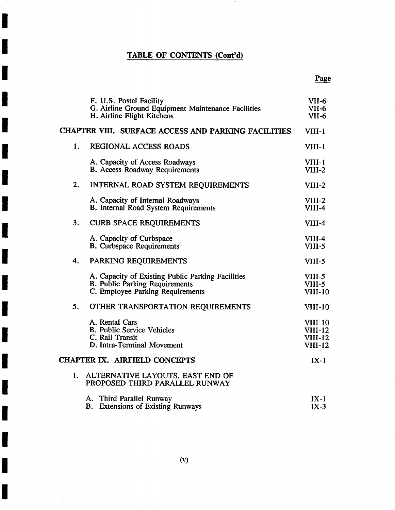**i** 

**I** 

**i** 

**!** 

**!** 

**I** 

**I** 

**I** 

**!** 

**!** 

**!** 

**!** 

**!** 

**I** 

**!** 

**I** 

**I** 

**i** 

 $\ddot{\phantom{a}}$ 

|    | F. U.S. Postal Facility<br>G. Airline Ground Equipment Maintenance Facilities<br>H. Airline Flight Kitchens             | VII-6<br>VII-6<br>$VII-6$                                  |
|----|-------------------------------------------------------------------------------------------------------------------------|------------------------------------------------------------|
|    | <b>CHAPTER VIII. SURFACE ACCESS AND PARKING FACILITIES</b>                                                              | $VIII-1$                                                   |
| 1. | <b>REGIONAL ACCESS ROADS</b>                                                                                            | $VIII-1$                                                   |
|    | A. Capacity of Access Roadways<br><b>B.</b> Access Roadway Requirements                                                 | VIII-1<br>VIII-2                                           |
| 2. | INTERNAL ROAD SYSTEM REQUIREMENTS                                                                                       | VIII-2                                                     |
|    | A. Capacity of Internal Roadways<br><b>B.</b> Internal Road System Requirements                                         | $VIII-2$<br>VIII-4                                         |
| 3. | <b>CURB SPACE REQUIREMENTS</b>                                                                                          | VIII-4                                                     |
|    | A. Capacity of Curbspace<br><b>B.</b> Curbspace Requirements                                                            | $VIII-4$<br>VIII-5                                         |
| 4. | PARKING REQUIREMENTS                                                                                                    | VIII-5                                                     |
|    | A. Capacity of Existing Public Parking Facilities<br>B. Public Parking Requirements<br>C. Employee Parking Requirements | VIII-5<br>VIII-5<br><b>VIII-10</b>                         |
| 5. | OTHER TRANSPORTATION REQUIREMENTS                                                                                       | <b>VIII-10</b>                                             |
|    | A. Rental Cars<br><b>B. Public Service Vehicles</b><br>C. Rail Transit<br>D. Intra-Terminal Movement                    | $VIII-10$<br><b>VIII-12</b><br>$VIII-12$<br><b>VIII-12</b> |
|    | CHAPTER IX. AIRFIELD CONCEPTS                                                                                           | $IX-1$                                                     |
|    | 1. ALTERNATIVE LAYOUTS, EAST END OF<br>PROPOSED THIRD PARALLEL RUNWAY                                                   |                                                            |
|    | A. Third Parallel Runway<br><b>B.</b> Extensions of Existing Runways                                                    | $IX-1$<br>$IX-3$                                           |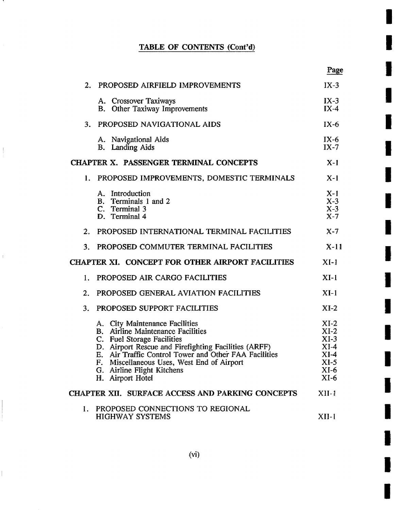л.

 $\frac{1}{2}$ 

 $\mathbb{F}$ 

 $\begin{array}{c} \hline \end{array}$ 

**I** 

**I** 

**I** 

**I** 

**!** 

**!** 

**I** 

**I** 

**I** 

**i** 

!

**!** 

**!** 

**I** 

**i** 

**I** 

**i** 

**i** 

|                  |                                                                                                                                                                                                                                                                                                                           | Page                                                                       |
|------------------|---------------------------------------------------------------------------------------------------------------------------------------------------------------------------------------------------------------------------------------------------------------------------------------------------------------------------|----------------------------------------------------------------------------|
| 2.               | PROPOSED AIRFIELD IMPROVEMENTS                                                                                                                                                                                                                                                                                            | $IX-3$                                                                     |
|                  | A. Crossover Taxiways<br><b>B.</b> Other Taxiway Improvements                                                                                                                                                                                                                                                             | $IX-3$<br>$IX-4$                                                           |
|                  | 3. PROPOSED NAVIGATIONAL AIDS                                                                                                                                                                                                                                                                                             | $IX-6$                                                                     |
|                  | A. Navigational Aids<br><b>B.</b> Landing Aids                                                                                                                                                                                                                                                                            | $IX-6$<br>$IX-7$                                                           |
|                  | <b>CHAPTER X. PASSENGER TERMINAL CONCEPTS</b>                                                                                                                                                                                                                                                                             | $X-1$                                                                      |
| 1.               | PROPOSED IMPROVEMENTS, DOMESTIC TERMINALS                                                                                                                                                                                                                                                                                 | $X-1$                                                                      |
|                  | A. Introduction<br>B. Terminals 1 and 2<br>C. Terminal 3<br>D. Terminal 4                                                                                                                                                                                                                                                 | $X-1$<br>$X-3$<br>$X-3$<br>$X-7$                                           |
| 2.               | PROPOSED INTERNATIONAL TERMINAL FACILITIES                                                                                                                                                                                                                                                                                | $X - 7$                                                                    |
| 3.               | PROPOSED COMMUTER TERMINAL FACILITIES                                                                                                                                                                                                                                                                                     | $X-11$                                                                     |
|                  | CHAPTER XI. CONCEPT FOR OTHER AIRPORT FACILITIES                                                                                                                                                                                                                                                                          | $XI-1$                                                                     |
| 1.               | PROPOSED AIR CARGO FACILITIES                                                                                                                                                                                                                                                                                             | $XI-1$                                                                     |
| $\overline{2}$ . | PROPOSED GENERAL AVIATION FACILITIES                                                                                                                                                                                                                                                                                      | $XI-1$                                                                     |
| 3.               | PROPOSED SUPPORT FACILITIES                                                                                                                                                                                                                                                                                               | $XI-2$                                                                     |
|                  | A. City Maintenance Facilities<br><b>B.</b> Airline Maintenance Facilities<br>C. Fuel Storage Facilities<br>D. Airport Rescue and Firefighting Facilities (ARFF)<br>E. Air Traffic Control Tower and Other FAA Facilities<br>F. Miscellaneous Uses, West End of Airport<br>G. Airline Flight Kitchens<br>H. Airport Hotel | $XI-2$<br>$XI-2$<br>$XI-3$<br>$XI-4$<br>$XI-4$<br>XI-5<br>$XI-6$<br>$XI-6$ |
|                  | <b>CHAPTER XII. SURFACE ACCESS AND PARKING CONCEPTS</b>                                                                                                                                                                                                                                                                   | $XII-1$                                                                    |
|                  | 1. PROPOSED CONNECTIONS TO REGIONAL<br><b>HIGHWAY SYSTEMS</b>                                                                                                                                                                                                                                                             | $XII-1$                                                                    |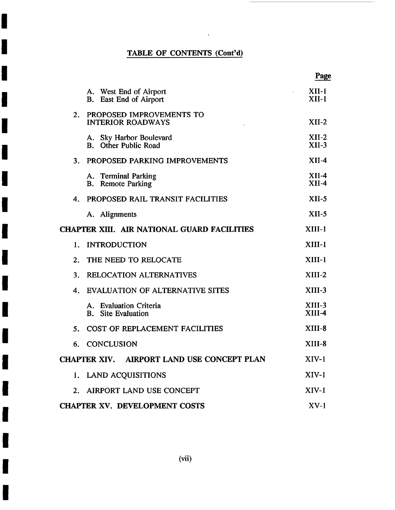$\sim 10^{11}$  km

**I** 

**!** 

**!** 

**i** 

**I** 

**i** 

**I** 

**I** 

**!** 

**I** 

**I** 

**I** 

**I** 

**I** 

**!** 

**I** 

**!** 

|    |                                                           | Page                 |
|----|-----------------------------------------------------------|----------------------|
|    | A. West End of Airport<br><b>B.</b> East End of Airport   | XII-1<br>$XII-1$     |
| 2. | PROPOSED IMPROVEMENTS TO<br><b>INTERIOR ROADWAYS</b>      | $XII-2$              |
|    | A. Sky Harbor Boulevard<br>Other Public Road<br><b>B.</b> | $XII-2$<br>$XII-3$   |
| 3. | PROPOSED PARKING IMPROVEMENTS                             | $XII-4$              |
|    | A. Terminal Parking<br><b>B.</b> Remote Parking           | $XII-4$<br>$XII-4$   |
| 4. | PROPOSED RAIL TRANSIT FACILITIES                          | $XII-5$              |
|    | A. Alignments                                             | $XII-5$              |
|    | CHAPTER XIII. AIR NATIONAL GUARD FACILITIES               | $XIII-1$             |
| 1. | <b>INTRODUCTION</b>                                       | $XIII-1$             |
| 2. | THE NEED TO RELOCATE                                      | $XIII-1$             |
| 3. | RELOCATION ALTERNATIVES                                   | $XIII-2$             |
| 4. | <b>EVALUATION OF ALTERNATIVE SITES</b>                    | $XIII-3$             |
|    | A. Evaluation Criteria<br><b>B.</b> Site Evaluation       | $XIII-3$<br>$XIII-4$ |
| 5. | COST OF REPLACEMENT FACILITIES                            | $XIII-8$             |
| 6. | <b>CONCLUSION</b>                                         | XIII-8               |
|    | AIRPORT LAND USE CONCEPT PLAN<br><b>CHAPTER XIV.</b>      | $XIV-1$              |
|    | 1. LAND ACQUISITIONS                                      | $XIV-1$              |
|    | 2. AIRPORT LAND USE CONCEPT                               | $XIV-1$              |
|    | <b>CHAPTER XV. DEVELOPMENT COSTS</b>                      | $XV-1$               |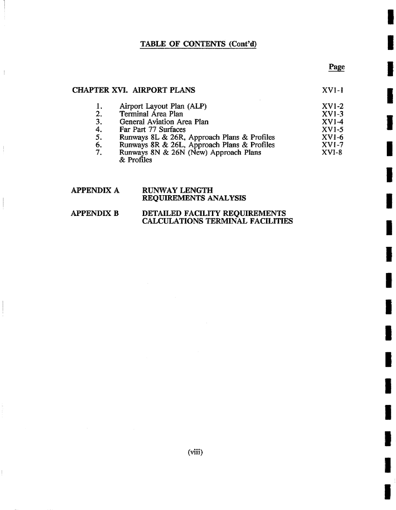#### Page

**I** 

**I** 

**I** 

**I** 

**I** 

**I** 

**I** 

**I** 

**I** 

**!** 

**!** 

**I** 

**I** 

**I** 

**I** 

**I** 

**!** 

#### CHAPTER XVI. AIRPORT PLANS

 $\left\vert \right\rangle$ 

XVI-I

|    | Airport Layout Plan (ALP)                   | $XVI-2$ |
|----|---------------------------------------------|---------|
| 2. | Terminal Area Plan                          | $XVI-3$ |
| 3. | General Aviation Area Plan                  | $XVI-4$ |
| 4. | Far Part 77 Surfaces                        | $XVI-5$ |
| 5. | Runways 8L & 26R, Approach Plans & Profiles | $XVI-6$ |
| 6. | Runways 8R & 26L, Approach Plans & Profiles | $XVI-7$ |
| 7. | Runways 8N & 26N (New) Approach Plans       | $XVI-8$ |
|    | & Profiles                                  |         |

#### **APPENDIX A**  RUNWAY **LENGTH**  REQUIREMENTS ANALYSIS

#### **APPENDIX B DETAILED** FACILITY REQUIREMENTS CALCULATIONS TERMINAL FACILITIES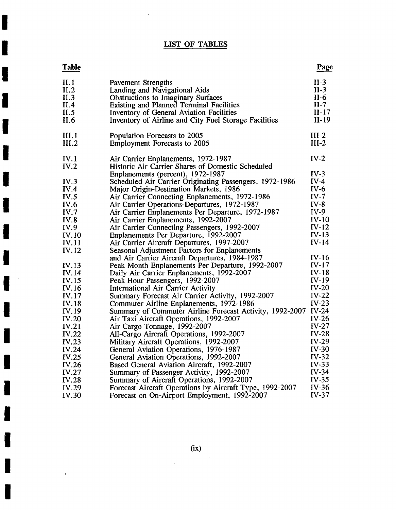## **LIST OF TABLES**

 $\sim$ 

**I** 

**I** 

**I** 

**I** 

**I** 

**I** 

**I** 

**I** 

**I** 

**I** 

**I** 

**I** 

**I** 

**I** 

**I** 

**I** 

**I** 

**I** 

 $\ddot{\phantom{a}}$ 

| <b>Table</b>         |                                                                                                  | Page                       |
|----------------------|--------------------------------------------------------------------------------------------------|----------------------------|
| II.1<br>II.2<br>II.3 | <b>Pavement Strengths</b><br>Landing and Navigational Aids<br>Obstructions to Imaginary Surfaces | $II-3$<br>$II-3$<br>$II-6$ |
| II.4                 | <b>Existing and Planned Terminal Facilities</b>                                                  | $II-7$                     |
| II.5                 | Inventory of General Aviation Facilities                                                         | $II-17$                    |
| II.6                 | Inventory of Airline and City Fuel Storage Facilities                                            | $II-19$                    |
| III.1                | Population Forecasts to 2005                                                                     | $III-2$                    |
| III.2                | <b>Employment Forecasts to 2005</b>                                                              | $III-2$                    |
| IV.1                 | Air Carrier Enplanements, 1972-1987                                                              | $IV-2$                     |
| IV.2                 | Historic Air Carrier Shares of Domestic Scheduled                                                |                            |
|                      | Enplanements (percent), 1972-1987                                                                | $IV-3$                     |
| IV.3                 | Scheduled Air Carrier Originating Passengers, 1972-1986                                          | $IV-4$                     |
| IV.4                 | Major Origin-Destination Markets, 1986                                                           | $IV-6$                     |
| IV.5                 | Air Carrier Connecting Enplanements, 1972-1986                                                   | $IV-7$                     |
| <b>IV.6</b>          | Air Carrier Operations-Departures, 1972-1987                                                     | $IV-8$                     |
| IV.7                 | Air Carrier Enplanements Per Departure, 1972-1987                                                | $IV-9$                     |
| IV.8                 | Air Carrier Enplanements, 1992-2007                                                              | $IV-10$                    |
| IV.9                 | Air Carrier Connecting Passengers, 1992-2007                                                     | $IV-12$                    |
| IV.10                | Enplanements Per Departure, 1992-2007                                                            | $IV-13$                    |
| <b>IV.11</b>         | Air Carrier Aircraft Departures, 1997-2007                                                       | $IV-14$                    |
| IV.12                | Seasonal Adjustment Factors for Enplanements                                                     |                            |
|                      | and Air Carrier Aircraft Departures, 1984-1987                                                   | $IV-16$                    |
| IV.13                | Peak Month Enplanements Per Departure, 1992-2007                                                 | $IV-17$                    |
| <b>IV.14</b>         | Daily Air Carrier Enplanements, 1992-2007                                                        | $IV-18$                    |
| IV.15                | Peak Hour Passengers, 1992-2007                                                                  | $IV-19$                    |
| IV.16                | International Air Carrier Activity                                                               | $IV-20$                    |
| IV.17                | Summary Forecast Air Carrier Activity, 1992-2007                                                 | $IV-22$                    |
| IV.18                | Commuter Airline Enplanements, 1972-1986                                                         | $IV-23$                    |
| IV.19                | Summary of Commuter Airline Forecast Activity, 1992-2007                                         | $IV-24$                    |
| <b>IV.20</b>         | Air Taxi Aircraft Operations, 1992-2007                                                          | $IV-26$                    |
| IV.21                | Air Cargo Tonnage, 1992-2007                                                                     | $IV-27$                    |
| IV.22                | All-Cargo Aircraft Operations, 1992-2007                                                         | $IV-28$                    |
| IV.23                | Military Aircraft Operations, 1992-2007                                                          | $IV-29$                    |
| IV.24                | General Aviation Operations, 1976-1987                                                           | $IV-30$                    |
| IV.25                | General Aviation Operations, 1992-2007                                                           | $IV-32$                    |
| IV.26                | Based General Aviation Aircraft, 1992-2007                                                       | $IV-33$                    |
| IV.27                | Summary of Passenger Activity, 1992-2007                                                         | $IV-34$                    |
| <b>IV.28</b>         | Summary of Aircraft Operations, 1992-2007                                                        | $IV-35$                    |
| IV.29                | Forecast Aircraft Operations by Aircraft Type, 1992-2007                                         | $IV-36$                    |
| <b>IV.30</b>         | Forecast on On-Airport Employment, 1992-2007                                                     | $IV-37$                    |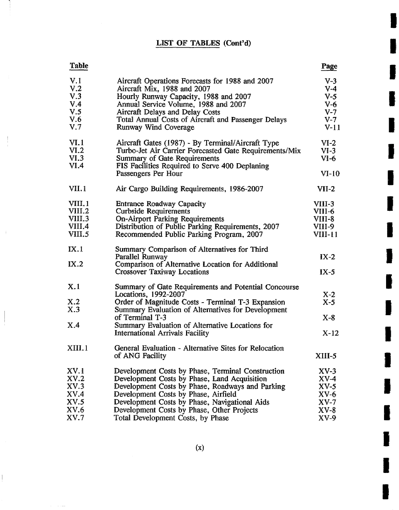## LIST OF TABLES (Cont'd)

**I** 

**I** 

**I** 

**I** 

**I** 

**I** 

**I** 

**I** 

**I** 

**I** 

**I** 

**I** 

**I** 

**I** 

**I** 

**I** 

**I** 

**I** 

**I** 

| Table            |                                                                                           | Page      |
|------------------|-------------------------------------------------------------------------------------------|-----------|
| V.1              | Aircraft Operations Forecasts for 1988 and 2007                                           | $V-3$     |
| V <sub>1</sub> 2 | Aircraft Mix, 1988 and 2007                                                               | $V-4$     |
| V.3              | Hourly Runway Capacity, 1988 and 2007                                                     | $V-5$     |
| V.4              | Annual Service Volume, 1988 and 2007                                                      | $V-6$     |
| V.5              | Aircraft Delays and Delay Costs                                                           | $V-T$     |
| V.6              | Total Annual Costs of Aircraft and Passenger Delays                                       | $V-7$     |
| V.7              | Runway Wind Coverage                                                                      | $V-11$    |
| VI.1             | Aircraft Gates (1987) - By Terminal/Aircraft Type                                         | $VI-2$    |
| VI.2             | Turbo-Jet Air Carrier Forecasted Gate Requirements/Mix                                    | $VI-3$    |
| VI.3<br>VI.4     | Summary of Gate Requirements                                                              | $VI-6$    |
|                  | FIS Facilities Required to Serve 400 Deplaning<br>Passengers Per Hour                     | $VI-10$   |
| VII.1            | Air Cargo Building Requirements, 1986-2007                                                | $VII-2$   |
| VIII.1           | Entrance Roadway Capacity                                                                 | VIII-3    |
| VIII.2           | <b>Curbside Requirements</b>                                                              | VIII-6    |
| VIII.3           | <b>On-Airport Parking Requirements</b>                                                    | VIII-8    |
| VIII.4           | Distribution of Public Parking Requirements, 2007                                         | VIII-9    |
| VIII.5           | Recommended Public Parking Program, 2007                                                  | $VIII-11$ |
| IX.1             | Summary Comparison of Alternatives for Third                                              |           |
|                  | Parallel Runway                                                                           | $IX-2$    |
| IX.2             | Comparison of Alternative Location for Additional                                         |           |
|                  | <b>Crossover Taxiway Locations</b>                                                        | $IX-5$    |
| X.1              | Summary of Gate Requirements and Potential Concourse                                      |           |
|                  | Locations, 1992-2007                                                                      | $X-2$     |
| X.2              | Order of Magnitude Costs - Terminal T-3 Expansion                                         | $X-5$     |
| X.3              | Summary Evaluation of Alternatives for Development                                        |           |
| X.4              | of Terminal T-3                                                                           | $X-8$     |
|                  | Summary Evaluation of Alternative Locations for<br><b>International Arrivals Facility</b> | $X-12$    |
|                  |                                                                                           |           |
| XIII.1           | General Evaluation - Alternative Sites for Relocation<br>of ANG Facility                  | $XIII-5$  |
|                  |                                                                                           |           |
| XV.1             | Development Costs by Phase, Terminal Construction                                         | XV-3      |
| XV.2             | Development Costs by Phase, Land Acquisition                                              | $XV-4$    |
| XV.3             | Development Costs by Phase, Roadways and Parking                                          | $XV-5$    |
| XV.4             | Development Costs by Phase, Airfield                                                      | $XV-6$    |
| XV.5             | Development Costs by Phase, Navigational Aids                                             | XV-7      |
| XV.6             | Development Costs by Phase, Other Projects                                                | $XV-8$    |
| XV.7             | Total Development Costs, by Phase                                                         | XV-9      |

 $\mathbf{I}$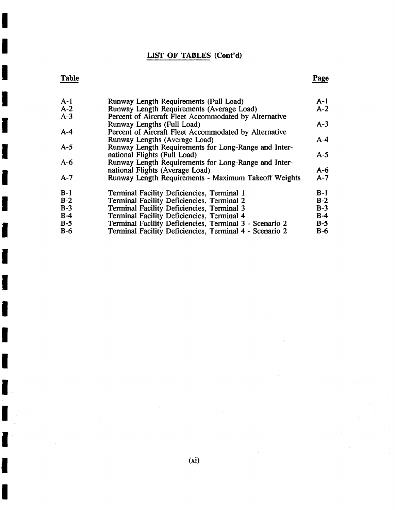### LIST OF TABLES (Cont'd)

## **Table**

**I** 

**I** 

**I** 

**I** 

**I** 

**I** 

**I** 

**I** 

**I** 

**I** 

**I** 

**I** 

**I** 

**I** 

**I** 

**I** 

**I** 

| $A-1$ | Runway Length Requirements (Full Load)                  | $A-1$ |
|-------|---------------------------------------------------------|-------|
| $A-2$ | Runway Length Requirements (Average Load)               | $A-2$ |
| $A-3$ | Percent of Aircraft Fleet Accommodated by Alternative   |       |
|       | Runway Lengths (Full Load)                              | $A-3$ |
| $A-4$ | Percent of Aircraft Fleet Accommodated by Alternative   |       |
|       | Runway Lengths (Average Load)                           | $A-4$ |
| $A-5$ | Runway Length Requirements for Long-Range and Inter-    |       |
|       | national Flights (Full Load)                            | $A-5$ |
| $A-6$ | Runway Length Requirements for Long-Range and Inter-    |       |
|       | national Flights (Average Load)                         | $A-6$ |
| $A-7$ | Runway Length Requirements - Maximum Takeoff Weights    | $A-7$ |
| $B-1$ | Terminal Facility Deficiencies, Terminal 1              | $B-1$ |
| $B-2$ | Terminal Facility Deficiencies, Terminal 2              | $B-2$ |
| $B-3$ | Terminal Facility Deficiencies, Terminal 3              | $B-3$ |
| $B-4$ | Terminal Facility Deficiencies, Terminal 4              | $B-4$ |
| $B-5$ | Terminal Facility Deficiencies, Terminal 3 - Scenario 2 | $B-5$ |
| $B-6$ | Terminal Facility Deficiencies, Terminal 4 - Scenario 2 | $B-6$ |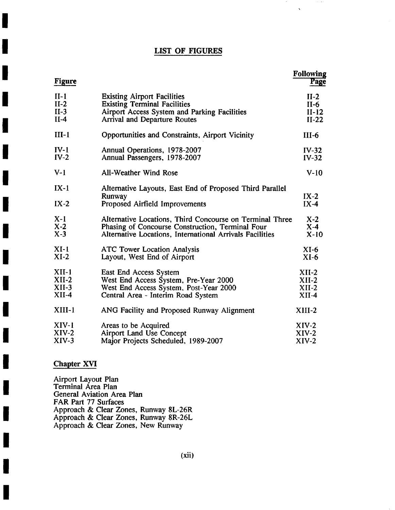### LIST OF FIGURES

 $\cdots$ 

 $\bar{\chi}$ 

| <b>Figure</b>    |                                                                                                      | <b>Following</b><br><b>Page</b> |
|------------------|------------------------------------------------------------------------------------------------------|---------------------------------|
| $II-1$           | <b>Existing Airport Facilities</b>                                                                   | $II-2$                          |
| $II-2$           | <b>Existing Terminal Facilities</b>                                                                  | $II-6$                          |
| $II-3$           | Airport Access System and Parking Facilities                                                         | $II-12$                         |
| $II-4$           | <b>Arrival and Departure Routes</b>                                                                  | $II-22$                         |
| $III-1$          | Opportunities and Constraints, Airport Vicinity                                                      | $III-6$                         |
| $IV-1$           | Annual Operations, 1978-2007                                                                         | $IV-32$                         |
| $IV-2$           | Annual Passengers, 1978-2007                                                                         | $IV-32$                         |
| $V-1$            | All-Weather Wind Rose                                                                                | $V-10$                          |
| $IX-1$<br>$IX-2$ | Alternative Layouts, East End of Proposed Third Parallel<br>Runway<br>Proposed Airfield Improvements | $IX-2$<br>$IX-4$                |
| $X-1$            | Alternative Locations, Third Concourse on Terminal Three                                             | $X-2$                           |
| $X-2$            | Phasing of Concourse Construction, Terminal Four                                                     | $X-4$                           |
| $X-3$            | Alternative Locations, International Arrivals Facilities                                             | $X-10$                          |
| $XI-1$           | <b>ATC Tower Location Analysis</b>                                                                   | $XI-6$                          |
| $XI-2$           | Layout, West End of Airport                                                                          | $XI-6$                          |
| $XII-1$          | East End Access System                                                                               | $XII-2$                         |
| $XII-2$          | West End Access System, Pre-Year 2000                                                                | $XII-2$                         |
| $XII-3$          | West End Access System, Post-Year 2000                                                               | $XII-2$                         |
| $XII-4$          | Central Area - Interim Road System                                                                   | $XII-4$                         |
| $XIII-1$         | ANG Facility and Proposed Runway Alignment                                                           | $XIII-2$                        |
| XIV-1            | Areas to be Acquired                                                                                 | $XIV-2$                         |
| $XIV-2$          | <b>Airport Land Use Concept</b>                                                                      | $XIV-2$                         |
| $XIV-3$          | Major Projects Scheduled, 1989-2007                                                                  | $XIV-2$                         |

### **Chapter XVI**

**I** 

**I** 

**I** 

**I** 

**!** 

**I** 

**I** 

**I** 

**I** 

**I** 

**I** 

**I** 

**i** 

**!** 

**I** 

**I** 

**I** 

i

Airport Layout Plan Terminal Area Plan General Aviation Area Plan FAR Part 77 Surfaces Approach & Clear Zones, Runway 8L-26R Approach & Clear Zones, Runway 8R-26L Approach & Clear Zones, New Runway